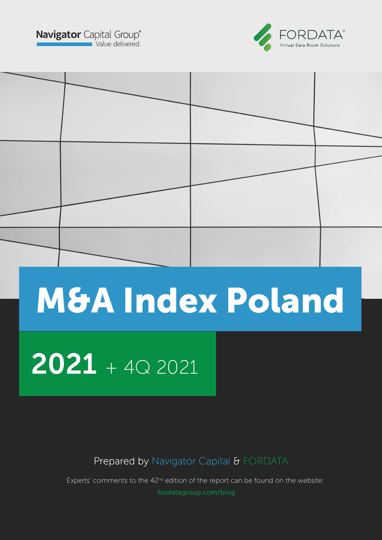**Navigator** Capital Group<sup>®</sup>





# M&A Index Poland

## $2021 + 402021$

Prepared by Navigator Capital & FORDATA

Experts' comments to the 42<sup>nd</sup> edition of the report can be found on the website: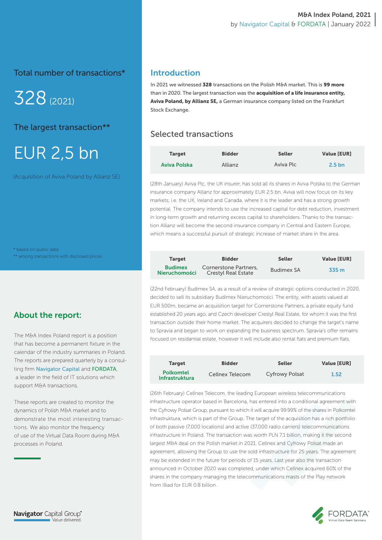Total number of transactions\*

328(2021)

The largest transaction\*\*

## EUR 2,5 bn

(Acquisition of Aviva Poland by Allianz SE)

\* based on public data \*\* among transactions with disclosed prices

## About the report:

The M&A Index Poland report is a position that has become a permanent fixture in the calendar of the industry summaries in Poland. The reports are prepared quarterly by a consulting firm Navigator Capital and FORDATA, a leader in the field of IT solutions which support M&A transactions.

These reports are created to monitor the dynamics of Polish M&A market and to demonstrate the most interesting transactions. We also monitor the frequency of use of the Virtual Data Room during M&A processes in Poland.

## Introduction

In 2021 we witnessed 328 transactions on the Polish M&A market. This is 99 more than in 2020. The largest transaction was the acquisition of a life insurance entity, Aviva Poland, by Allianz SE, a German insurance company listed on the Frankfurt Stock Exchange.

## Selected transactions

| <b>Target</b> | <b>Bidder</b> | <b>Seller</b> | <b>Value [EUR]</b> |
|---------------|---------------|---------------|--------------------|
| Aviva Polska  | Allianz       | Aviva Plc     | 2.5 <sub>bn</sub>  |

(28th January) Aviva Plc, the UK insurer, has sold all its shares in Aviva Polska to the German insurance company Allianz for approximately EUR 2.5 bn. Aviva will now focus on its key markets, i.e. the UK, Ireland and Canada, where it is the leader and has a strong growth potential. The company intends to use the increased capital for debt reduction, investment in long-term growth and returning excess capital to shareholders. Thanks to the transaction Allianz will become the second insurance company in Central and Eastern Europe, which means a successful pursuit of strategic increase of market share in the area.

| <b>Target</b>                          | <b>Bidder</b>                                       | <b>Seller</b>     | <b>Value [EUR]</b> |
|----------------------------------------|-----------------------------------------------------|-------------------|--------------------|
| <b>Budimex</b><br><b>Nieruchomości</b> | Cornerstone Partners.<br><b>Crestyl Real Estate</b> | <b>Budimex SA</b> | 335 m              |

(22nd February) Budimex SA, as a result of a review of strategic options conducted in 2020, decided to sell its subsidiary Budimex Nieruchomości. The entity, with assets valued at EUR 500m, became an acquisition target for Cornerstone Partners, a private equity fund established 20 years ago, and Czech developer Crestyl Real Estate, for whom it was the first transaction outside their home market. The acquirers decided to change the target's name to Spravia and began to work on expanding the business spectrum. Spravia's offer remains focused on residantial estate, however it will include also rental flats and premium flats.

| <b>Target</b>                             | <b>Bidder</b>   | <b>Seller</b>         | <b>Value [EUR]</b> |
|-------------------------------------------|-----------------|-----------------------|--------------------|
| <b>Polkomtel</b><br><b>Infrastruktura</b> | Cellnex Telecom | <b>Cyfrowy Polsat</b> | 1.52               |

(26th February) Cellnex Telecom, the leading European wireless telecommunications infrastructure operator based in Barcelona, has entered into a conditional agreement with the Cyfrowy Polsat Group, pursuant to which it will acquire 99.99% of the shares in Polkomtel Infrastruktura, which is part of the Group. The target of the acquisition has a rich portfolio of both passive (7,000 locations) and active (37,000 radio carriers) telecommunications infrastructure in Poland. The transaction was worth PLN 7.1 billion, making it the second largest M&A deal on the Polish market in 2021. Cellnex and Cyfrowy Polsat made an agreement, allowing the Group to use the sold infrastructure for 25 years. The agreement may be extended in the future for periods of 15 years. Last year also the transaction announced in October 2020 was completed, under which Cellnex acquired 60% of the shares in the company managing the telecommunications masts of the Play network from Illiad for EUR 0.8 billion.

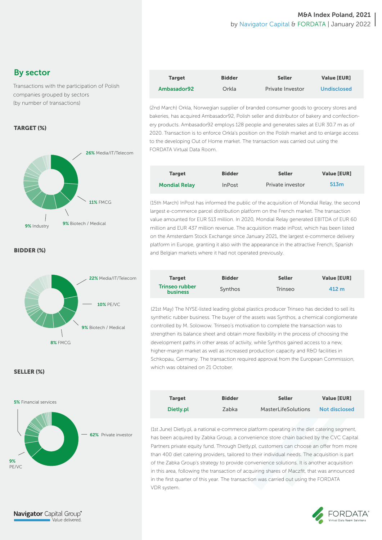## By sector

Transactions with the participation of Polish companies grouped by sectors (by number of transactions)

## TARGET (%)



BIDDER (%)



#### SELLER (%)



| <b>Target</b> | <b>Bidder</b> | <b>Seller</b>    | <b>Value [EUR]</b> |
|---------------|---------------|------------------|--------------------|
| Ambasador92   | Orkla         | Private Investor | <b>Undisclosed</b> |

(2nd March) Orkla, Norwegian supplier of branded consumer goods to grocery stores and bakeries, has acquired Ambasador92, Polish seller and distributor of bakery and confectionery products. Ambasador92 employs 128 people and generates sales at EUR 30.7 m as of 2020. Transaction is to enforce Orkla's position on the Polish market and to enlarge access to the developing Out of Home market. The transaction was carried out using the FORDATA Virtual Data Room.

| <b>Target</b>        | <b>Bidder</b> | <b>Seller</b>    | <b>Value [EUR]</b> |
|----------------------|---------------|------------------|--------------------|
| <b>Mondial Relay</b> | <b>InPost</b> | Private investor | 513m               |

(15th March) InPost has informed the public of the acquisition of Mondial Relay, the second largest e-commerce parcel distribution platform on the French market. The transaction value amounted for EUR 513 million. In 2020, Mondial Relay generated EBITDA of EUR 60 million and EUR 437 million revenue. The acquisition made inPost, which has been listed on the Amsterdam Stock Exchange since January 2021, the largest e-commerce delivery platform in Europe, granting it also with the appearance in the attractive French, Spanish and Belgian markets where it had not operated previously.

| <b>Target</b>                     | <b>Bidder</b> | <b>Seller</b> | <b>Value [EUR]</b> |
|-----------------------------------|---------------|---------------|--------------------|
| Trinseo rubber<br><b>business</b> | Synthos       | Trinseo       | 412 m              |

(21st May) The NYSE-listed leading global plastics producer Trinseo has decided to sell its synthetic rubber business. The buyer of the assets was Synthos, a chemical conglomerate controlled by M. Solowow. Trinseo's motivation to complete the transaction was to strengthen its balance sheet and obtain more flexibility in the process of choosing the development paths in other areas of activity, while Synthos gained access to a new, higher-margin market as well as increased production capacity and R&D facilities in Schkopau, Germany. The transaction required approval from the European Commission, which was obtained on 21 October.

| <b>Target</b> | <b>Bidder</b> | <b>Seller</b>              | <b>Value [EUR]</b>   |
|---------------|---------------|----------------------------|----------------------|
| Dietly.pl     | Zabka         | <b>MasterLifeSolutions</b> | <b>Not disclosed</b> |

(1st June) Dietly.pl, a national e-commerce platform operating in the diet catering segment, has been acquired by Zabka Group, a convenience store chain backed by the CVC Capital Partners private equity fund. Through Dietly.pl, customers can choose an offer from more than 400 diet catering providers, tailored to their individual needs. The acquisition is part of the Zabka Group's strategy to provide convenience solutions. It is another acquisition in this area, following the transaction of acquiring shares of Maczfit, that was announced in the first quarter of this year. The transaction was carried out using the FORDATA VDR system.

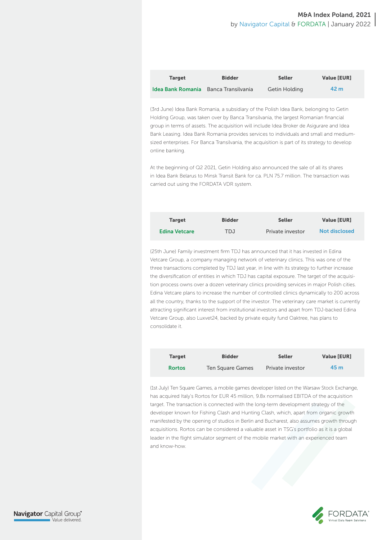| <b>Target</b>                               | <b>Bidder</b> | <b>Seller</b> | <b>Value [EUR]</b> |
|---------------------------------------------|---------------|---------------|--------------------|
| <b>Idea Bank Romania</b> Banca Transilvania |               | Getin Holding | 42 m               |

(3rd June) Idea Bank Romania, a subsidiary of the Polish Idea Bank, belonging to Getin Holding Group, was taken over by Banca Transilvania, the largest Romanian financial group in terms of assets. The acquisition will include Idea Broker de Asigurare and Idea Bank Leasing. Idea Bank Romania provides services to individuals and small and mediumsized enterprises. For Banca Transilvania, the acquisition is part of its strategy to develop online banking.

At the beginning of Q2 2021, Getin Holding also announced the sale of all its shares in Idea Bank Belarus to Minsk Transit Bank for ca. PLN 75.7 million. The transaction was carried out using the FORDATA VDR system.

| <b>Target</b>        | <b>Bidder</b> | <b>Seller</b>    | <b>Value [EUR]</b>   |
|----------------------|---------------|------------------|----------------------|
| <b>Edina Vetcare</b> | TDJ           | Private investor | <b>Not disclosed</b> |

(25th June) Family investment firm TDJ has announced that it has invested in Edina Vetcare Group, a company managing network of veterinary clinics. This was one of the three transactions completed by TDJ last year, in line with its strategy to further increase the diversification of entities in which TDJ has capital exposure. The target of the acquisition process owns over a dozen veterinary clinics providing services in major Polish cities. Edina Vetcare plans to increase the number of controlled clinics dynamically to 200 across all the country, thanks to the support of the investor. The veterinary care market is currently attracting significant interest from institutional investors and apart from TDJ-backed Edina Vetcare Group, also Luxvet24, backed by private equity fund Oaktree, has plans to consolidate it.

| <b>Target</b> | <b>Bidder</b>    | <b>Seller</b>    | <b>Value [EUR]</b> |
|---------------|------------------|------------------|--------------------|
| <b>Rortos</b> | Ten Square Games | Private investor | 45 m               |

(1st July) Ten Square Games, a mobile games developer listed on the Warsaw Stock Exchange, has acquired Italy's Rortos for EUR 45 million, 9.8x normalised EBITDA of the acquisition target. The transaction is connected with the long-term development strategy of the developer known for Fishing Clash and Hunting Clash, which, apart from organic growth manifested by the opening of studios in Berlin and Bucharest, also assumes growth through acquisitions. Rortos can be considered a valuable asset in TSG's portfolio as it is a global leader in the flight simulator segment of the mobile market with an experienced team and know-how.



**Navigator** Capital Group® Value delivered.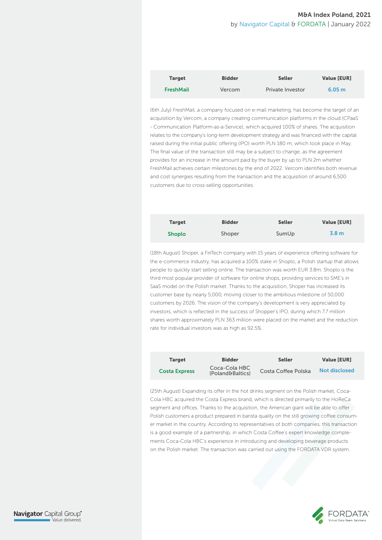| <b>Target</b>    | <b>Bidder</b> | <b>Seller</b>    | <b>Value [EUR]</b> |
|------------------|---------------|------------------|--------------------|
| <b>FreshMail</b> | Vercom        | Private Investor | 6.05 m             |

(6th July) FreshMail, a company focused on e-mail marketing, has become the target of an acquisition by Vercom, a company creating communication platforms in the cloud (CPaaS - Communication Platform-as-a-Service), which acquired 100% of shares. The acquisition relates to the company's long-term development strategy and was financed with the capital raised during the initial public offering (IPO) worth PLN 180 m, which took place in May. The final value of the transaction still may be a subject to change, as the agreement provides for an increase in the amount paid by the buyer by up to PLN 2m whether FreshMail achieves certain milestones by the end of 2022. Vercom identifies both revenue and cost synergies resulting from the transaction and the acquisition of around 6,500 customers due to cross-selling opportunities.

| <b>Target</b> | <b>Bidder</b> | <b>Seller</b> | <b>Value [EUR]</b> |
|---------------|---------------|---------------|--------------------|
| <b>Shoplo</b> | Shoper        | SumUp         | 3.8 <sub>m</sub>   |

(18th August) Shoper, a FinTech company with 15 years of experience offering software for the e-commerce industry, has acquired a 100% stake in Shoplo, a Polish startup that allows people to quickly start selling online. The transaction was worth EUR 3.8m. Shoplo is the third most popular provider of software for online shops, providing services to SME's in SaaS model on the Polish market. Thanks to the acquisition, Shoper has increased its customer base by nearly 5,000, moving closer to the ambitious milestone of 50,000 customers by 2026. The vision of the company's development is very appreciated by investors, which is reflected in the success of Shopper's IPO, during which 7.7 million shares worth approximately PLN 363 million were placed on the market and the reduction rate for individual investors was as high as 92.5%.

| <b>Target</b>        | <b>Bidder</b>                     | <b>Seller</b>       | <b>Value [EUR]</b> |
|----------------------|-----------------------------------|---------------------|--------------------|
| <b>Costa Express</b> | Coca-Cola HBC<br>(Poland&Baltics) | Costa Coffee Polska | Not disclosed      |

(25th August) Expanding its offer in the hot drinks segment on the Polish market, Coca-Cola HBC acquired the Costa Express brand, which is directed primarily to the HoReCa segment and offices. Thanks to the acquisition, the American giant will be able to offer Polish customers a product prepared in barista quality on the still growing coffee consumer market in the country. According to representatives of both companies, this transaction is a good example of a partnership, in which Costa Coffee's expert knowledge complements Coca-Cola HBC's experience in introducing and developing beverage products on the Polish market. The transaction was carried out using the FORDATA VDR system.



**Navigator** Capital Group® Value delivered.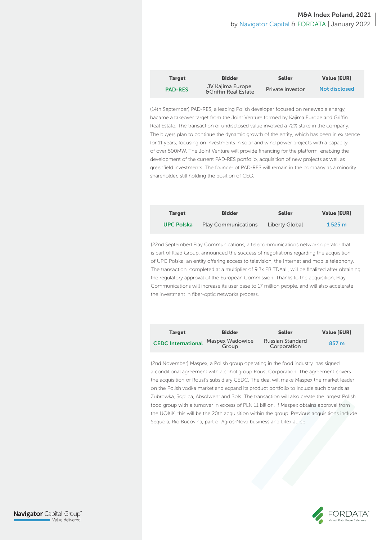| <b>Target</b>  | <b>Bidder</b>                                       | <b>Seller</b>    | <b>Value [EUR]</b>   |
|----------------|-----------------------------------------------------|------------------|----------------------|
| <b>PAD-RES</b> | JV Kajima Europe<br><b>&amp;Griffin Real Estate</b> | Private investor | <b>Not disclosed</b> |

(14th September) PAD-RES, a leading Polish developer focused on renewable energy, bacame a takeover target from the Joint Venture formed by Kajima Europe and Griffin Real Estate. The transaction of undisclosed value involved a 72% stake in the company. The buyers plan to continue the dynamic growth of the entity, which has been in existence for 11 years, focusing on investments in solar and wind power projects with a capacity of over 500MW. The Joint Venture will provide financing for the platform, enabling the development of the current PAD-RES portfolio, acquisition of new projects as well as greenfield investments. The founder of PAD-RES will remain in the company as a minority shareholder, still holding the position of CEO.

| <b>Target</b>     | <b>Bidder</b>              | <b>Seller</b>  | <b>Value [EUR]</b> |
|-------------------|----------------------------|----------------|--------------------|
| <b>UPC Polska</b> | <b>Play Communications</b> | Liberty Global | 1525 m             |

(22nd September) Play Communications, a telecommunications network operator that is part of Illiad Group, announced the success of negotiations regarding the acquisition of UPC Polska, an entity offering access to television, the Internet and mobile telephony. The transaction, completed at a multiplier of 9.3x EBITDAaL, will be finalized after obtaining the regulatory approval of the European Commission. Thanks to the acquisition, Play Communications will increase its user base to 17 million people, and will also accelerate the investment in fiber-optic networks process.

| <b>Target</b>             | <b>Bidder</b>            | <b>Seller</b>                          | <b>Value [EUR]</b> |
|---------------------------|--------------------------|----------------------------------------|--------------------|
| <b>CEDC International</b> | Maspex Wadowice<br>Group | <b>Russian Standard</b><br>Corporation | 857 m              |

(2nd November) Maspex, a Polish group operating in the food industry, has signed a conditional agreement with alcohol group Roust Corporation. The agreement covers the acquisition of Roust's subsidiary CEDC. The deal will make Maspex the market leader on the Polish vodka market and expand its product portfolio to include such brands as Zubrowka, Soplica, Absolwent and Bols. The transaction will also create the largest Polish food group with a turnover in excess of PLN 11 billion. If Maspex obtains approval from the UOKiK, this will be the 20th acquisition within the group. Previous acquisitions include Sequoia, Rio Bucovina, part of Agros-Nova business and Litex Juice.



**Navigator** Capital Group® Value delivered.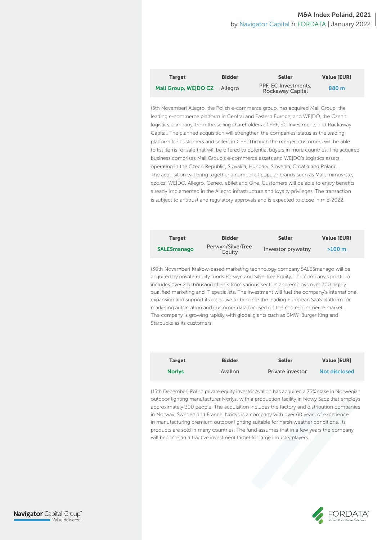| <b>Target</b>                | <b>Bidder</b> | <b>Seller</b>                            | <b>Value [EUR]</b> |
|------------------------------|---------------|------------------------------------------|--------------------|
| Mall Group, WE DO CZ Allegro |               | PPF, EC Investments,<br>Rockaway Capital | 880 m              |

(5th November) Allegro, the Polish e-commerce group, has acquired Mall Group, the leading e-commerce platform in Central and Eastern Europe, and WE|DO, the Czech logistics company, from the selling shareholders of PPF, EC Investments and Rockaway Capital. The planned acquisition will strengthen the companies' status as the leading platform for customers and sellers in CEE. Through the merger, customers will be able to list items for sale that will be offered to potential buyers in more countries. The acquired business comprises Mall Group's e-commerce assets and WE|DO's logistics assets, operating in the Czech Republic, Slovakia, Hungary, Slovenia, Croatia and Poland. The acquisition will bring together a number of popular brands such as Mall, mimovrste, czc.cz, WE|DO, Allegro, Ceneo, eBilet and One. Customers will be able to enjoy benefits already implemented in the Allegro infrastructure and loyalty privileges. The transaction is subject to antitrust and regulatory approvals and is expected to close in mid-2022.

| <b>Target</b>      | <b>Bidder</b>               | <b>Seller</b>     | <b>Value [EUR]</b> |
|--------------------|-----------------------------|-------------------|--------------------|
| <b>SALESmanago</b> | Perwyn/SilverTree<br>Eauity | Inwestor prywatny | $>100 \; m$        |

(30th November) Krakow-based marketing technology company SALESmanago will be acquired by private equity funds Perwyn and SilverTree Equity. The company's portfolio includes over 2.5 thousand clients from various sectors and employs over 300 highly qualified marketing and IT specialists. The investment will fuel the company's international expansion and support its objective to become the leading European SaaS platform for marketing automation and customer data focused on the mid e-commerce market. The company is growing rapidly with global giants such as BMW, Burger King and Starbucks as its customers.

| <b>Target</b> | <b>Bidder</b> | <b>Seller</b>    | <b>Value [EUR]</b>   |
|---------------|---------------|------------------|----------------------|
| <b>Norlys</b> | Avallon       | Private investor | <b>Not disclosed</b> |

(15th December) Polish private equity investor Avallon has acquired a 75% stake in Norwegian outdoor lighting manufacturer Norlys, with a production facility in Nowy Sącz that employs approximately 300 people. The acquisition includes the factory and distribution companies in Norway, Sweden and France. Norlys is a company with over 60 years of experience in manufacturing premium outdoor lighting suitable for harsh weather conditions. Its products are sold in many countries. The fund assumes that in a few years the company will become an attractive investment target for large industry players.

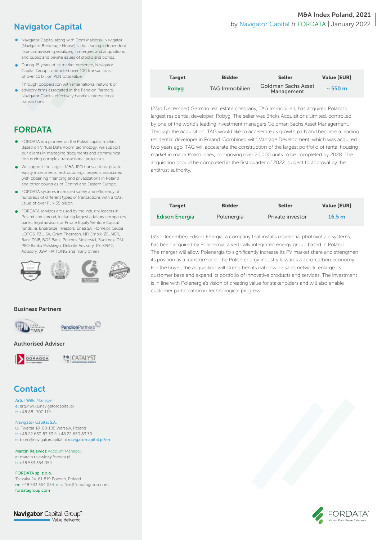## Navigator Capital

- Navigator Capital along with Dom Maklerski Navigator (Navigator Brokerage House) is the leading independent financial adviser, specializing in mergers and acquisitions and public and private issues of stocks and bonds.
- **During 15 years of its market presence, Navigator** Capital Group conducted over 100 transactions, of over 15 billion PLN total value.
- Through cooperation with international network of advisory firms associated in the Pandion Partners, Navigator Capital effectively handles international transactions.

## FORDATA

- **•** FORDATA is a pioneer on the Polish capital market. Based on Virtual Data Room technology, we support our clients in managing documents and communication during complex transactional processes.
- We support the largest M&A, IPO transactions, private equity investments, restructurings, projects associated with obtaining financing and privatizations in Poland and other countries of Central and Eastern Europe.
- **•** FORDATA systems increased safety and efficiency of hundreds of different types of transactions with a total value of over PLN 35 billion
- **•** FORDATA services are used by the industry leaders in Poland and abroad, including largest advisory companies, banks, legal advisors or Private Equity/Venture Capital funds, ie. Enterprise Investors, Enea SA, Home.pl, Grupa LOTOS, PZU SA, Grant Thornton, NFI Empik, ZELMER, Bank DNB, BOŚ Bank, Polimex Mostostal, Budimex, DM PKO Banku Polskiego, Deloitte Advisory, EY, KPMG Advisory, JSW, HAITONG and many others.



#### Business Partners



**Pandion**Partners

#### Authorised Adviser



*TO CATALYST* 

## **Contact**

Artur Wilk, Manager e: artur.wilk@navigatorcapital.pl t: +48 881 700 119

#### Navigator Capital S.A.

ul. Twarda 18, 00-105 Warsaw, Poland t: +48 22 630 83 33 f: +48 22 630 83 30 e: biuro@navigatorcapital.pl navigatorcapital.pl/en

Marcin Rajewicz Account Manager e: marcin.rajewicz@fordata.pl

t: +48 533 354 054

FORDATA sp. z o.o. Taczaka 24, 61-819 Poznań, Poland m: +48 533 354 054 e: office@fordatagroup.com fordatagroup.com

**Navigator** Capital Group<sup>®</sup> Value delivered.

## M&A Index Poland, 2021 by Navigator Capital & FORDATA | January 2022

| <b>Target</b> | <b>Bidder</b>         | <b>Seller</b>                     | <b>Value [EUR]</b> |
|---------------|-----------------------|-----------------------------------|--------------------|
| <b>Robyg</b>  | <b>TAG Immobilien</b> | Goldman Sachs Asset<br>Management | $\sim$ 550 m       |

(23rd December) German real estate company, TAG Immobilien, has acquired Poland's largest residential developer, Robyg. The seller was Bricks Acquisitions Limited, controlled by one of the world's leading investment managers Goldman Sachs Asset Management. Through the acquisition, TAG would like to accelerate its growth path and become a leading residential developer in Poland. Combined with Vantage Development, which was acquired two years ago, TAG will accelerate the construction of the largest portfolio of rental housing market in major Polish cities, comprising over 20,000 units to be completed by 2028. The acquisition should be completed in the first quarter of 2022, subject to approval by the antitrust authority.

| <b>Target</b>         | <b>Bidder</b> | <b>Seller</b>    | <b>Value [EUR]</b> |
|-----------------------|---------------|------------------|--------------------|
| <b>Edison Energia</b> | Polenergia    | Private investor | 16.5 <sub>m</sub>  |

(31st December) Edison Energia, a company that installs residential photovoltaic systems, has been acquired by Polenergia, a vertically integrated energy group based in Poland. The merger will allow Polenergia to significantly increase its PV market share and strengthen its position as a transformer of the Polish energy industry towards a zero-carbon economy. For the buyer, the acquisition will strengthen its nationwide sales network, enlarge its customer base and expand its portfolio of innovative products and services. The investment is in line with Polenergia's vision of creating value for stakeholders and will also enable customer participation in technological progress.

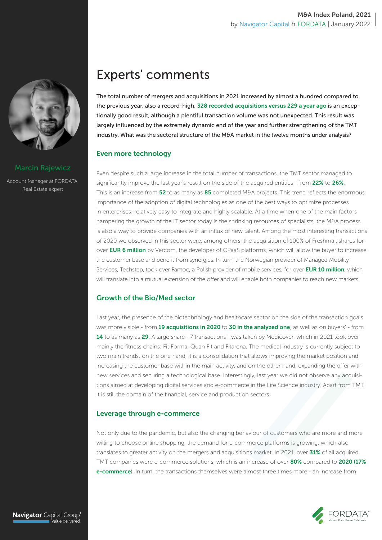

#### Marcin Rajewicz

Account Manager at FORDATA Real Estate expert

## Experts' comments

The total number of mergers and acquisitions in 2021 increased by almost a hundred compared to the previous year, also a record-high. 328 recorded acquisitions versus 229 a year ago is an exceptionally good result, although a plentiful transaction volume was not unexpected. This result was largely influenced by the extremely dynamic end of the year and further strengthening of the TMT industry. What was the sectoral structure of the M&A market in the twelve months under analysis?

## Even more technology

Even despite such a large increase in the total number of transactions, the TMT sector managed to significantly improve the last year's result on the side of the acquired entities - from 22% to 26%. This is an increase from 52 to as many as 85 completed M&A projects. This trend reflects the enormous importance of the adoption of digital technologies as one of the best ways to optimize processes in enterprises: relatively easy to integrate and highly scalable. At a time when one of the main factors hampering the growth of the IT sector today is the shrinking resources of specialists, the M&A process is also a way to provide companies with an influx of new talent. Among the most interesting transactions of 2020 we observed in this sector were, among others, the acquisition of 100% of Freshmail shares for over **EUR 6 million** by Vercom, the developer of CPaaS platforms, which will allow the buyer to increase the customer base and benefit from synergies. In turn, the Norwegian provider of Managed Mobility Services, Techstep, took over Famoc, a Polish provider of mobile services, for over EUR 10 million, which will translate into a mutual extension of the offer and will enable both companies to reach new markets.

## Growth of the Bio/Med sector

Last year, the presence of the biotechnology and healthcare sector on the side of the transaction goals was more visible - from 19 acquisitions in 2020 to 30 in the analyzed one, as well as on buyers' - from 14 to as many as 29. A large share - 7 transactions - was taken by Medicover, which in 2021 took over mainly the fitness chains: Fit Forma, Quan Fit and Fitarena. The medical industry is currently subject to two main trends: on the one hand, it is a consolidation that allows improving the market position and increasing the customer base within the main activity, and on the other hand, expanding the offer with new services and securing a technological base. Interestingly, last year we did not observe any acquisitions aimed at developing digital services and e-commerce in the Life Science industry. Apart from TMT, it is still the domain of the financial, service and production sectors.

## Leverage through e-commerce

Not only due to the pandemic, but also the changing behaviour of customers who are more and more willing to choose online shopping, the demand for e-commerce platforms is growing, which also translates to greater activity on the mergers and acquisitions market. In 2021, over 31% of all acquired TMT companies were e-commerce solutions, which is an increase of over 80% compared to 2020 (17% e-commerce). In turn, the transactions themselves were almost three times more - an increase from

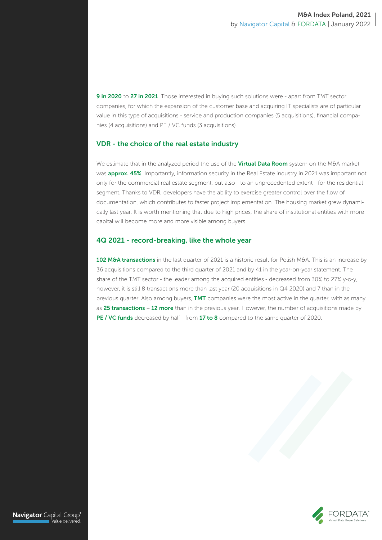9 in 2020 to 27 in 2021. Those interested in buying such solutions were - apart from TMT sector companies, for which the expansion of the customer base and acquiring IT specialists are of particular value in this type of acquisitions - service and production companies (5 acquisitions), financial companies (4 acquisitions) and PE / VC funds (3 acquisitions).

#### VDR - the choice of the real estate industry

We estimate that in the analyzed period the use of the Virtual Data Room system on the M&A market was **approx. 45%**. Importantly, information security in the Real Estate industry in 2021 was important not only for the commercial real estate segment, but also - to an unprecedented extent - for the residential segment. Thanks to VDR, developers have the ability to exercise greater control over the flow of documentation, which contributes to faster project implementation. The housing market grew dynamically last year. It is worth mentioning that due to high prices, the share of institutional entities with more capital will become more and more visible among buyers.

#### 4Q 2021 - record-breaking, like the whole year

102 M&A transactions in the last quarter of 2021 is a historic result for Polish M&A. This is an increase by 36 acquisitions compared to the third quarter of 2021 and by 41 in the year-on-year statement. The share of the TMT sector - the leader among the acquired entities - decreased from 30% to 27% y-o-y, however, it is still 8 transactions more than last year (20 acquisitions in Q4 2020) and 7 than in the previous quarter. Also among buyers, TMT companies were the most active in the quarter, with as many as 25 transactions – 12 more than in the previous year. However, the number of acquisitions made by PE / VC funds decreased by half - from 17 to 8 compared to the same quarter of 2020.